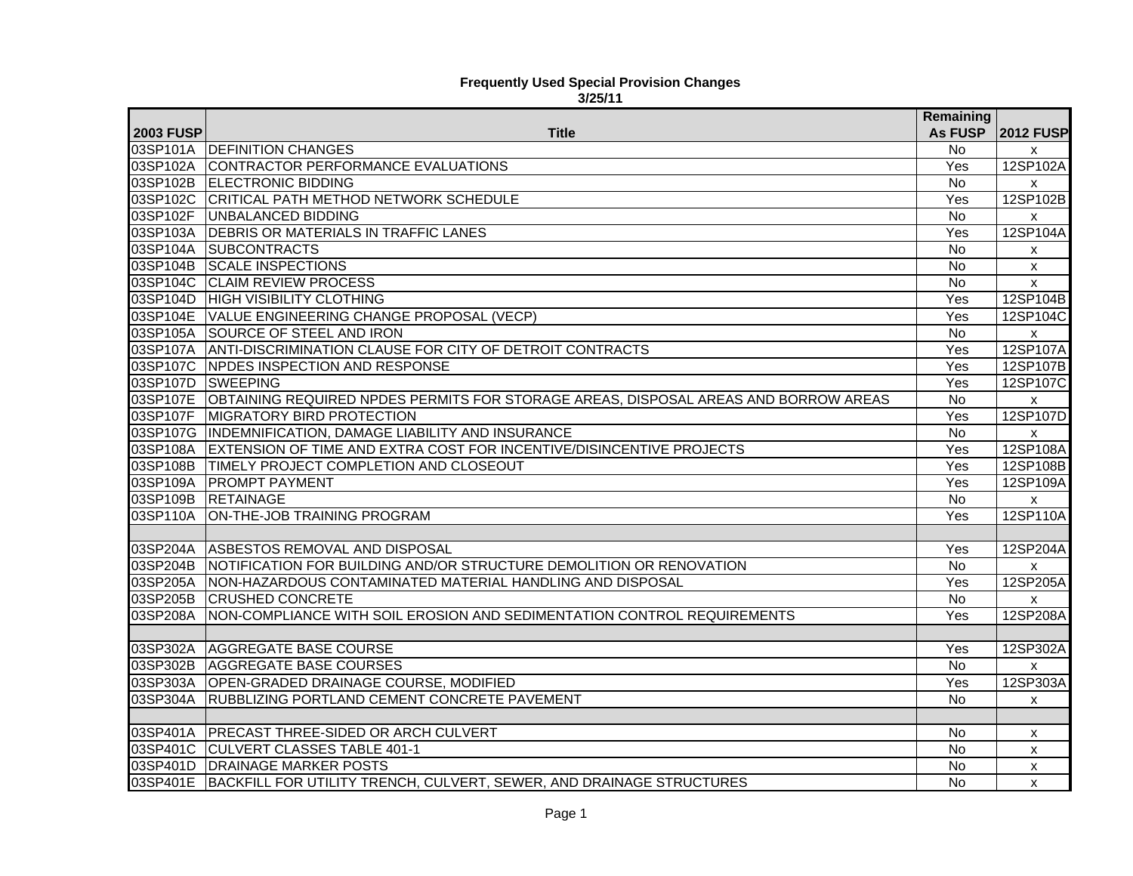## **Frequently Used Special Provision Changes 3/25/11**

|                   |                                                                                              | Remaining      |                           |
|-------------------|----------------------------------------------------------------------------------------------|----------------|---------------------------|
| <b>2003 FUSP</b>  | Title                                                                                        | <b>As FUSP</b> | <b>2012 FUSP</b>          |
|                   | 03SP101A DEFINITION CHANGES                                                                  | <b>No</b>      | X                         |
|                   | 03SP102A CONTRACTOR PERFORMANCE EVALUATIONS                                                  | Yes            | 12SP102A                  |
|                   | 03SP102B ELECTRONIC BIDDING                                                                  | <b>No</b>      | $\mathsf{x}$              |
|                   | 03SP102C CRITICAL PATH METHOD NETWORK SCHEDULE                                               | Yes            | 12SP102B                  |
|                   | 03SP102F UNBALANCED BIDDING                                                                  | <b>No</b>      | X                         |
|                   | 03SP103A DEBRIS OR MATERIALS IN TRAFFIC LANES                                                | Yes            | 12SP104A                  |
|                   | 03SP104A SUBCONTRACTS                                                                        | No.            | X                         |
|                   | 03SP104B SCALE INSPECTIONS                                                                   | No             | $\boldsymbol{\mathsf{x}}$ |
|                   | 03SP104C CLAIM REVIEW PROCESS                                                                | No             | $\boldsymbol{\mathsf{x}}$ |
|                   | 03SP104D HIGH VISIBILITY CLOTHING                                                            | Yes            | 12SP104B                  |
|                   | 03SP104E VALUE ENGINEERING CHANGE PROPOSAL (VECP)                                            | Yes            | 12SP104C                  |
|                   | 03SP105A SOURCE OF STEEL AND IRON                                                            | $\overline{N}$ | $\boldsymbol{\mathsf{x}}$ |
|                   | 03SP107A ANTI-DISCRIMINATION CLAUSE FOR CITY OF DETROIT CONTRACTS                            | Yes            | 12SP107A                  |
|                   | 03SP107C NPDES INSPECTION AND RESPONSE                                                       | Yes            | 12SP107B                  |
| 03SP107D SWEEPING |                                                                                              | Yes            | 12SP107C                  |
|                   | 03SP107E OBTAINING REQUIRED NPDES PERMITS FOR STORAGE AREAS, DISPOSAL AREAS AND BORROW AREAS | <b>No</b>      | X                         |
|                   | 03SP107F MIGRATORY BIRD PROTECTION                                                           | Yes            | 12SP107D                  |
|                   | 03SP107G INDEMNIFICATION, DAMAGE LIABILITY AND INSURANCE                                     | No             | $\boldsymbol{\mathsf{x}}$ |
| 03SP108A          | EXTENSION OF TIME AND EXTRA COST FOR INCENTIVE/DISINCENTIVE PROJECTS                         | Yes            | 12SP108A                  |
|                   | 03SP108B TIMELY PROJECT COMPLETION AND CLOSEOUT                                              | Yes            | 12SP108B                  |
| 03SP109A          | <b>PROMPT PAYMENT</b>                                                                        | Yes            | 12SP109A                  |
| 03SP109B          | <b>RETAINAGE</b>                                                                             | <b>No</b>      | $\boldsymbol{\mathsf{x}}$ |
| 03SP110A          | ON-THE-JOB TRAINING PROGRAM                                                                  | Yes            | 12SP110A                  |
|                   |                                                                                              |                |                           |
| 03SP204A          | ASBESTOS REMOVAL AND DISPOSAL                                                                | Yes            | 12SP204A                  |
| 03SP204B          | NOTIFICATION FOR BUILDING AND/OR STRUCTURE DEMOLITION OR RENOVATION                          | No             | X                         |
| 03SP205A          | NON-HAZARDOUS CONTAMINATED MATERIAL HANDLING AND DISPOSAL                                    | Yes            | 12SP205A                  |
| 03SP205B          | <b>CRUSHED CONCRETE</b>                                                                      | No             | X                         |
| 03SP208A          | NON-COMPLIANCE WITH SOIL EROSION AND SEDIMENTATION CONTROL REQUIREMENTS                      | Yes            | 12SP208A                  |
|                   |                                                                                              |                |                           |
|                   | 03SP302A AGGREGATE BASE COURSE                                                               | Yes            | 12SP302A                  |
| 03SP302B          | <b>AGGREGATE BASE COURSES</b>                                                                | $\overline{N}$ | X                         |
|                   | 03SP303A OPEN-GRADED DRAINAGE COURSE, MODIFIED                                               | Yes            | 12SP303A                  |
|                   | 03SP304A RUBBLIZING PORTLAND CEMENT CONCRETE PAVEMENT                                        | <b>No</b>      | X                         |
|                   |                                                                                              |                |                           |
| 03SP401A          | <b>PRECAST THREE-SIDED OR ARCH CULVERT</b>                                                   | No             | $\boldsymbol{\mathsf{x}}$ |
| 03SP401C          | <b>CULVERT CLASSES TABLE 401-1</b>                                                           | No             | $\boldsymbol{\mathsf{x}}$ |
|                   | 03SP401D   DRAINAGE MARKER POSTS                                                             | No             | X                         |
| 03SP401E          | BACKFILL FOR UTILITY TRENCH, CULVERT, SEWER, AND DRAINAGE STRUCTURES                         | <b>No</b>      | $\pmb{\chi}$              |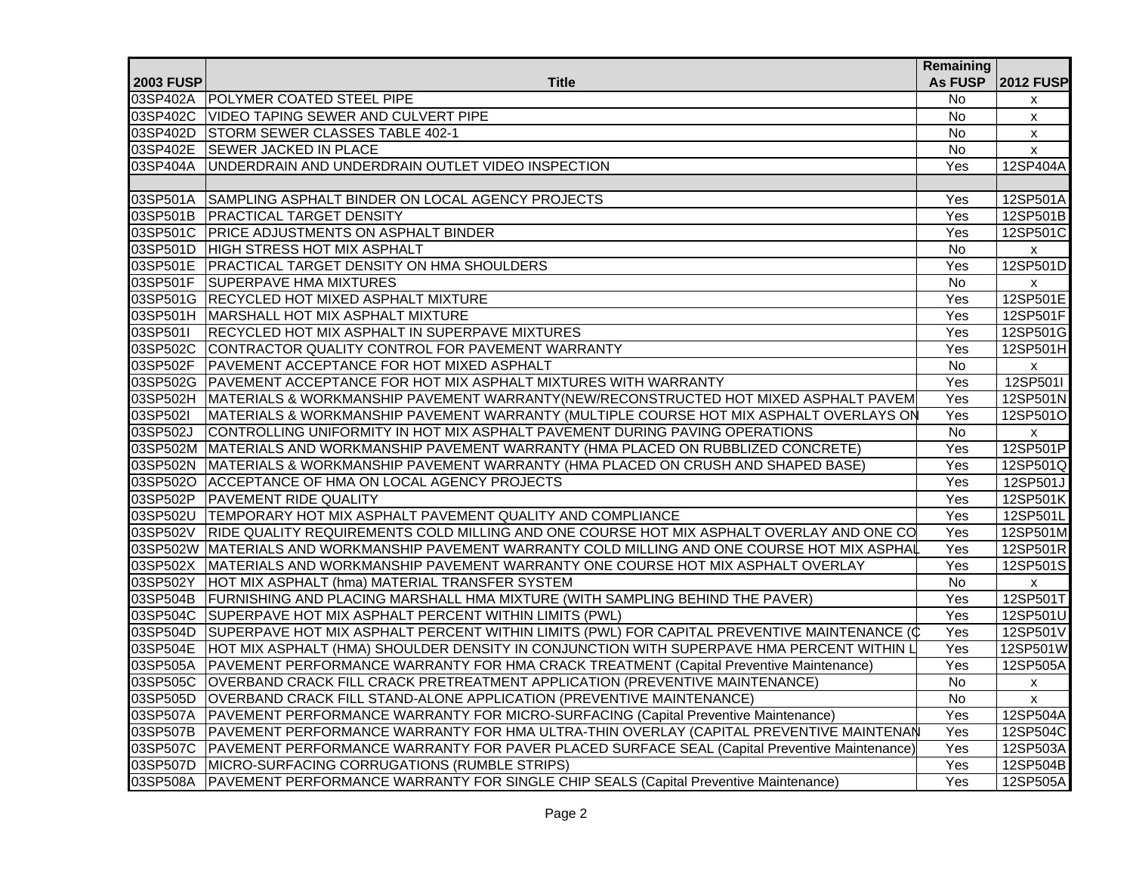|                  |                                                                                                       | Remaining         |                    |
|------------------|-------------------------------------------------------------------------------------------------------|-------------------|--------------------|
| <b>2003 FUSP</b> | <b>Title</b>                                                                                          | <b>As FUSP</b>    | <b>2012 FUSP</b>   |
|                  | 03SP402A POLYMER COATED STEEL PIPE                                                                    | No.               | X                  |
|                  | 03SP402C VIDEO TAPING SEWER AND CULVERT PIPE                                                          | <b>No</b>         | X                  |
|                  | 03SP402D STORM SEWER CLASSES TABLE 402-1                                                              | No.               | $\mathsf{x}$       |
|                  | 03SP402E SEWER JACKED IN PLACE                                                                        | No                | X                  |
| 03SP404A         | UNDERDRAIN AND UNDERDRAIN OUTLET VIDEO INSPECTION                                                     | Yes               | 12SP404A           |
|                  |                                                                                                       |                   |                    |
| 03SP501A         | SAMPLING ASPHALT BINDER ON LOCAL AGENCY PROJECTS                                                      | $\overline{Y}$ es | 12SP501A           |
|                  | 03SP501B   PRACTICAL TARGET DENSITY                                                                   | Yes               | 12SP501B           |
|                  | 03SP501C PRICE ADJUSTMENTS ON ASPHALT BINDER                                                          | Yes               | 12SP501C           |
|                  | 03SP501D HIGH STRESS HOT MIX ASPHALT                                                                  | No                | $\mathsf{x}$       |
|                  | 03SP501E PRACTICAL TARGET DENSITY ON HMA SHOULDERS                                                    | Yes               | 12SP501D           |
|                  | 03SP501F SUPERPAVE HMA MIXTURES                                                                       | <b>No</b>         | X                  |
|                  | 03SP501G RECYCLED HOT MIXED ASPHALT MIXTURE                                                           | Yes               | 12SP501E           |
|                  | 03SP501H MARSHALL HOT MIX ASPHALT MIXTURE                                                             | Yes               | 12SP501F           |
| 03SP501I         | RECYCLED HOT MIX ASPHALT IN SUPERPAVE MIXTURES                                                        | Yes               | 12SP501G           |
|                  | 03SP502C CONTRACTOR QUALITY CONTROL FOR PAVEMENT WARRANTY                                             | Yes               | 12SP501H           |
| 03SP502F         | PAVEMENT ACCEPTANCE FOR HOT MIXED ASPHALT                                                             | No                | $\pmb{\mathsf{x}}$ |
|                  | 03SP502G PAVEMENT ACCEPTANCE FOR HOT MIX ASPHALT MIXTURES WITH WARRANTY                               | Yes               | 12SP501I           |
|                  | 03SP502H MATERIALS & WORKMANSHIP PAVEMENT WARRANTY(NEW/RECONSTRUCTED HOT MIXED ASPHALT PAVEM          | Yes               | 12SP501N           |
| 03SP502I         | MATERIALS & WORKMANSHIP PAVEMENT WARRANTY (MULTIPLE COURSE HOT MIX ASPHALT OVERLAYS ON                | Yes               | 12SP501O           |
| 03SP502J         | CONTROLLING UNIFORMITY IN HOT MIX ASPHALT PAVEMENT DURING PAVING OPERATIONS                           | No                | X                  |
|                  | 03SP502M MATERIALS AND WORKMANSHIP PAVEMENT WARRANTY (HMA PLACED ON RUBBLIZED CONCRETE)               | Yes               | 12SP501P           |
|                  | 03SP502N MATERIALS & WORKMANSHIP PAVEMENT WARRANTY (HMA PLACED ON CRUSH AND SHAPED BASE)              | Yes               | 12SP501Q           |
|                  | 03SP502O ACCEPTANCE OF HMA ON LOCAL AGENCY PROJECTS                                                   | Yes               | 12SP501J           |
|                  | 03SP502P PAVEMENT RIDE QUALITY                                                                        | Yes               | 12SP501K           |
|                  | 03SP502U TEMPORARY HOT MIX ASPHALT PAVEMENT QUALITY AND COMPLIANCE                                    | Yes               | 12SP501L           |
|                  | 03SP502V RIDE QUALITY REQUIREMENTS COLD MILLING AND ONE COURSE HOT MIX ASPHALT OVERLAY AND ONE CO     | Yes               | 12SP501M           |
|                  | 03SP502W MATERIALS AND WORKMANSHIP PAVEMENT WARRANTY COLD MILLING AND ONE COURSE HOT MIX ASPHAL       | Yes               | 12SP501R           |
|                  | 03SP502X MATERIALS AND WORKMANSHIP PAVEMENT WARRANTY ONE COURSE HOT MIX ASPHALT OVERLAY               | Yes               | 12SP501S           |
|                  | 03SP502Y HOT MIX ASPHALT (hma) MATERIAL TRANSFER SYSTEM                                               | <b>No</b>         | $\mathsf{x}$       |
|                  | 03SP504B FURNISHING AND PLACING MARSHALL HMA MIXTURE (WITH SAMPLING BEHIND THE PAVER)                 | $\overline{Yes}$  | 12SP501T           |
|                  | 03SP504C SUPERPAVE HOT MIX ASPHALT PERCENT WITHIN LIMITS (PWL)                                        | Yes               | 12SP501U           |
|                  | 03SP504D SUPERPAVE HOT MIX ASPHALT PERCENT WITHIN LIMITS (PWL) FOR CAPITAL PREVENTIVE MAINTENANCE (C  | Yes               | 12SP501V           |
|                  | 03SP504E HOT MIX ASPHALT (HMA) SHOULDER DENSITY IN CONJUNCTION WITH SUPERPAVE HMA PERCENT WITHIN L    | Yes               | 12SP501W           |
|                  | 03SP505A PAVEMENT PERFORMANCE WARRANTY FOR HMA CRACK TREATMENT (Capital Preventive Maintenance)       | Yes               | 12SP505A           |
|                  | 03SP505C OVERBAND CRACK FILL CRACK PRETREATMENT APPLICATION (PREVENTIVE MAINTENANCE)                  | <b>No</b>         | $\pmb{\mathsf{X}}$ |
|                  | 03SP505D OVERBAND CRACK FILL STAND-ALONE APPLICATION (PREVENTIVE MAINTENANCE)                         | <b>No</b>         | $\mathsf{x}$       |
|                  | 03SP507A PAVEMENT PERFORMANCE WARRANTY FOR MICRO-SURFACING (Capital Preventive Maintenance)           | Yes               | 12SP504A           |
|                  | 03SP507B PAVEMENT PERFORMANCE WARRANTY FOR HMA ULTRA-THIN OVERLAY (CAPITAL PREVENTIVE MAINTENAN       | Yes               | 12SP504C           |
|                  | 03SP507C PAVEMENT PERFORMANCE WARRANTY FOR PAVER PLACED SURFACE SEAL (Capital Preventive Maintenance) | Yes               | 12SP503A           |
|                  | 03SP507D MICRO-SURFACING CORRUGATIONS (RUMBLE STRIPS)                                                 | Yes               | 12SP504B           |
| 03SP508A         | PAVEMENT PERFORMANCE WARRANTY FOR SINGLE CHIP SEALS (Capital Preventive Maintenance)                  | Yes               | 12SP505A           |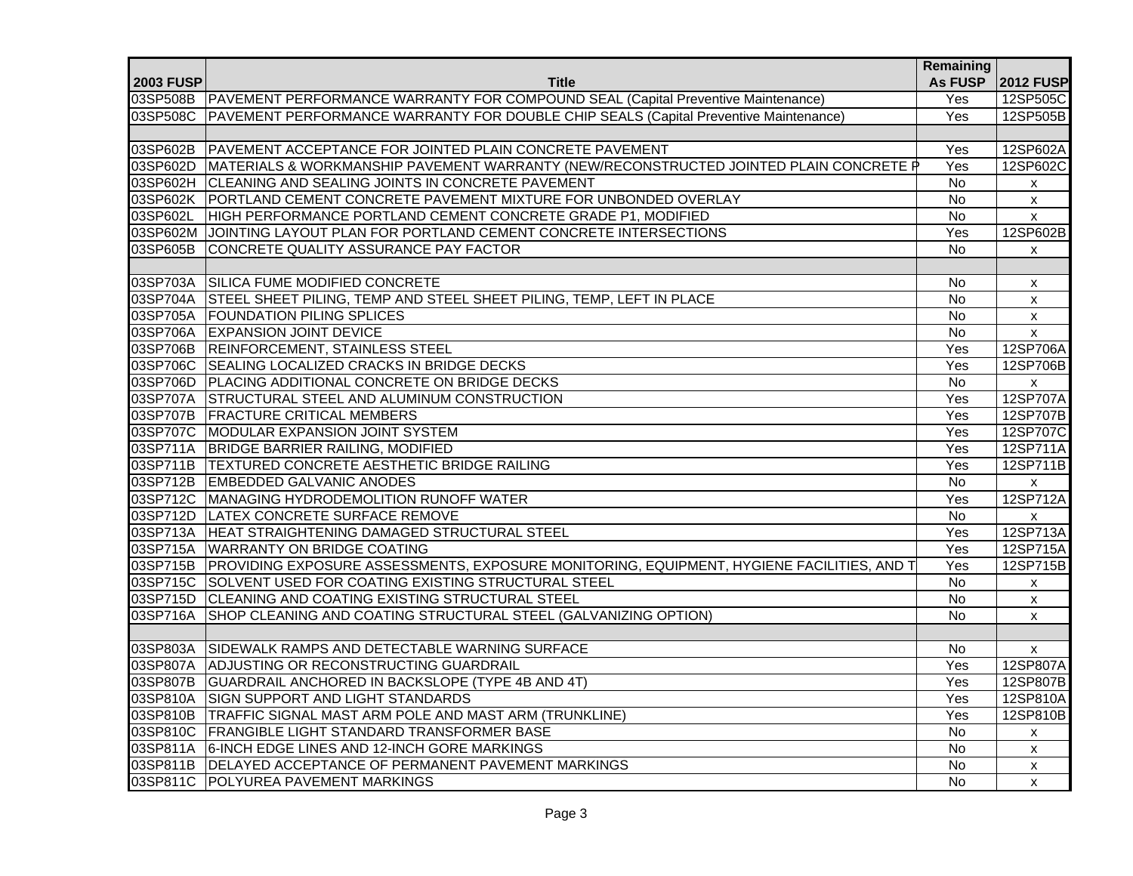|                  |                                                                                                    | Remaining      |                    |
|------------------|----------------------------------------------------------------------------------------------------|----------------|--------------------|
| <b>2003 FUSP</b> | <b>Title</b>                                                                                       | <b>As FUSP</b> | <b>2012 FUSP</b>   |
|                  | 03SP508B PAVEMENT PERFORMANCE WARRANTY FOR COMPOUND SEAL (Capital Preventive Maintenance)          | Yes            | 12SP505C           |
|                  | 03SP508C PAVEMENT PERFORMANCE WARRANTY FOR DOUBLE CHIP SEALS (Capital Preventive Maintenance)      | Yes            | 12SP505B           |
|                  |                                                                                                    |                |                    |
|                  | 03SP602B PAVEMENT ACCEPTANCE FOR JOINTED PLAIN CONCRETE PAVEMENT                                   | Yes            | 12SP602A           |
|                  | 03SP602D MATERIALS & WORKMANSHIP PAVEMENT WARRANTY (NEW/RECONSTRUCTED JOINTED PLAIN CONCRETE P     | Yes            | 12SP602C           |
|                  | 03SP602H CLEANING AND SEALING JOINTS IN CONCRETE PAVEMENT                                          | <b>No</b>      | Х                  |
|                  | 03SP602K PORTLAND CEMENT CONCRETE PAVEMENT MIXTURE FOR UNBONDED OVERLAY                            | <b>No</b>      | $\pmb{\mathsf{X}}$ |
| 03SP602L         | HIGH PERFORMANCE PORTLAND CEMENT CONCRETE GRADE P1, MODIFIED                                       | <b>No</b>      | X                  |
|                  | 03SP602M JOINTING LAYOUT PLAN FOR PORTLAND CEMENT CONCRETE INTERSECTIONS                           | Yes            | 12SP602B           |
|                  | 03SP605B CONCRETE QUALITY ASSURANCE PAY FACTOR                                                     | No             | $\pmb{\mathsf{X}}$ |
|                  |                                                                                                    |                |                    |
|                  | 03SP703A SILICA FUME MODIFIED CONCRETE                                                             | No             | X                  |
|                  | 03SP704A STEEL SHEET PILING, TEMP AND STEEL SHEET PILING, TEMP, LEFT IN PLACE                      | No             | $\pmb{\mathsf{X}}$ |
|                  | 03SP705A FOUNDATION PILING SPLICES                                                                 | No             | $\pmb{\mathsf{X}}$ |
|                  | 03SP706A EXPANSION JOINT DEVICE                                                                    | No             | $\pmb{\mathsf{X}}$ |
|                  | 03SP706B REINFORCEMENT, STAINLESS STEEL                                                            | Yes            | 12SP706A           |
|                  | 03SP706C SEALING LOCALIZED CRACKS IN BRIDGE DECKS                                                  | Yes            | 12SP706B           |
|                  | 03SP706D PLACING ADDITIONAL CONCRETE ON BRIDGE DECKS                                               | No             | $\pmb{\chi}$       |
|                  | 03SP707A STRUCTURAL STEEL AND ALUMINUM CONSTRUCTION                                                | Yes            | 12SP707A           |
|                  | 03SP707B FRACTURE CRITICAL MEMBERS                                                                 | Yes            | 12SP707B           |
|                  | 03SP707C MODULAR EXPANSION JOINT SYSTEM                                                            | Yes            | 12SP707C           |
|                  | 03SP711A BRIDGE BARRIER RAILING, MODIFIED                                                          | Yes            | 12SP711A           |
|                  | 03SP711B TEXTURED CONCRETE AESTHETIC BRIDGE RAILING                                                | Yes            | 12SP711B           |
|                  | 03SP712B EMBEDDED GALVANIC ANODES                                                                  | No             | x                  |
|                  | 03SP712C MANAGING HYDRODEMOLITION RUNOFF WATER                                                     | Yes            | 12SP712A           |
|                  | 03SP712D LATEX CONCRETE SURFACE REMOVE                                                             | $\overline{N}$ | $\mathsf{x}$       |
|                  | 03SP713A HEAT STRAIGHTENING DAMAGED STRUCTURAL STEEL                                               | Yes            | 12SP713A           |
|                  | 03SP715A WARRANTY ON BRIDGE COATING                                                                | Yes            | 12SP715A           |
|                  | 03SP715B PROVIDING EXPOSURE ASSESSMENTS, EXPOSURE MONITORING, EQUIPMENT, HYGIENE FACILITIES, AND T | Yes            | 12SP715B           |
|                  | 03SP715C SOLVENT USED FOR COATING EXISTING STRUCTURAL STEEL                                        | No             | X                  |
|                  | 03SP715D CLEANING AND COATING EXISTING STRUCTURAL STEEL                                            | No             | X                  |
| 03SP716A         | SHOP CLEANING AND COATING STRUCTURAL STEEL (GALVANIZING OPTION)                                    | <b>No</b>      | $\mathsf{x}$       |
|                  |                                                                                                    |                |                    |
| 03SP803A         | SIDEWALK RAMPS AND DETECTABLE WARNING SURFACE                                                      | No.            | $\mathsf{x}$       |
| 03SP807A         | ADJUSTING OR RECONSTRUCTING GUARDRAIL                                                              | Yes            | 12SP807A           |
|                  | 03SP807B GUARDRAIL ANCHORED IN BACKSLOPE (TYPE 4B AND 4T)                                          | Yes            | 12SP807B           |
|                  | 03SP810A SIGN SUPPORT AND LIGHT STANDARDS                                                          | Yes            | 12SP810A           |
|                  | 03SP810B TRAFFIC SIGNAL MAST ARM POLE AND MAST ARM (TRUNKLINE)                                     | Yes            | 12SP810B           |
|                  | 03SP810C FRANGIBLE LIGHT STANDARD TRANSFORMER BASE                                                 | <b>No</b>      | $\mathsf{x}$       |
|                  | 03SP811A 6-INCH EDGE LINES AND 12-INCH GORE MARKINGS                                               | No             | X                  |
|                  | 03SP811B DELAYED ACCEPTANCE OF PERMANENT PAVEMENT MARKINGS                                         | <b>No</b>      | X                  |
|                  | 03SP811C POLYUREA PAVEMENT MARKINGS                                                                | <b>No</b>      | $\mathsf{x}$       |